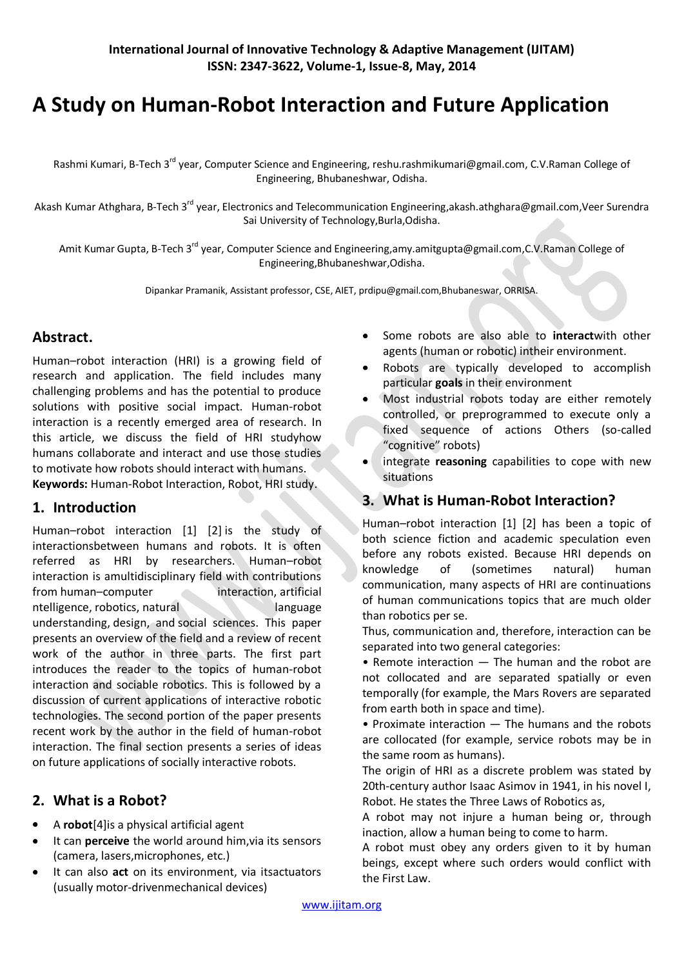# **A Study on Human-Robot Interaction and Future Application**

Rashmi Kumari, B-Tech 3<sup>rd</sup> year, Computer Science and Engineering[, reshu.rashmikumari@gmail.com,](mailto:reshu.rashmikumari@gmail.com) C.V.Raman College of Engineering, Bhubaneshwar, Odisha.

Akash Kumar Athghara, B-Tech 3<sup>rd</sup> year, Electronics and Telecommunication Engineering[,akash.athghara@gmail.com,](mailto:akash.athghara@gmail.com)Veer Surendra Sai University of Technology,Burla,Odisha.

Amit Kumar Gupta, B-Tech 3<sup>rd</sup> year, Computer Science and Engineerin[g,amy.amitgupta@gmail.com,C](mailto:amy.amitgupta@gmail.com).V.Raman College of Engineering,Bhubaneshwar,Odisha.

Dipankar Pramanik, Assistant professor, CSE, AIET, prdipu@gmail.com,Bhubaneswar, ORRISA.

#### **Abstract.**

Human–robot interaction (HRI) is a growing field of research and application. The field includes many challenging problems and has the potential to produce solutions with positive social impact. Human-robot interaction is a recently emerged area of research. In this article, we discuss the field of HRI studyhow humans collaborate and interact and use those studies to motivate how robots should interact with humans. **Keywords:** Human-Robot Interaction, Robot, HRI study.

#### **1. Introduction**

Human–robot interaction [1] [2] is the study of interactionsbetween humans and robots. It is often referred as HRI by researchers. Human–robot interaction is amultidisciplinary field with contributions from human–computer interaction, artificial ntelligence, robotics, natural language understanding, design, and social sciences. This paper presents an overview of the field and a review of recent work of the author in three parts. The first part introduces the reader to the topics of human-robot interaction and sociable robotics. This is followed by a discussion of current applications of interactive robotic technologies. The second portion of the paper presents recent work by the author in the field of human-robot interaction. The final section presents a series of ideas on future applications of socially interactive robots.

#### **2. What is a Robot?**

- A **robot**[4]is a physical artificial agent
- It can **perceive** the world around him,via its sensors  $\bullet$ (camera, lasers,microphones, etc.)
- It can also **act** on its environment, via itsactuators (usually motor-drivenmechanical devices)
- Some robots are also able to **interact**with other agents (human or robotic) intheir environment.
- Robots are typically developed to accomplish particular **goals** in their environment
- Most industrial robots today are either remotely controlled, or preprogrammed to execute only a fixed sequence of actions Others (so-called "cognitive" robots)
- integrate **reasoning** capabilities to cope with new situations

#### **3. What is Human-Robot Interaction?**

Human–robot interaction [1] [2] has been a topic of both science fiction and academic speculation even before any robots existed. Because HRI depends on knowledge of (sometimes natural) human communication, many aspects of HRI are continuations of human communications topics that are much older than robotics per se.

Thus, communication and, therefore, interaction can be separated into two general categories:

• Remote interaction — The human and the robot are not collocated and are separated spatially or even temporally (for example, the Mars Rovers are separated from earth both in space and time).

• Proximate interaction — The humans and the robots are collocated (for example, service robots may be in the same room as humans).

The origin of HRI as a discrete problem was stated by 20th-century author Isaac Asimov in 1941, in his novel I, Robot. He states the Three Laws of Robotics as,

A robot may not injure a human being or, through inaction, allow a human being to come to harm.

A robot must obey any orders given to it by human beings, except where such orders would conflict with the First Law.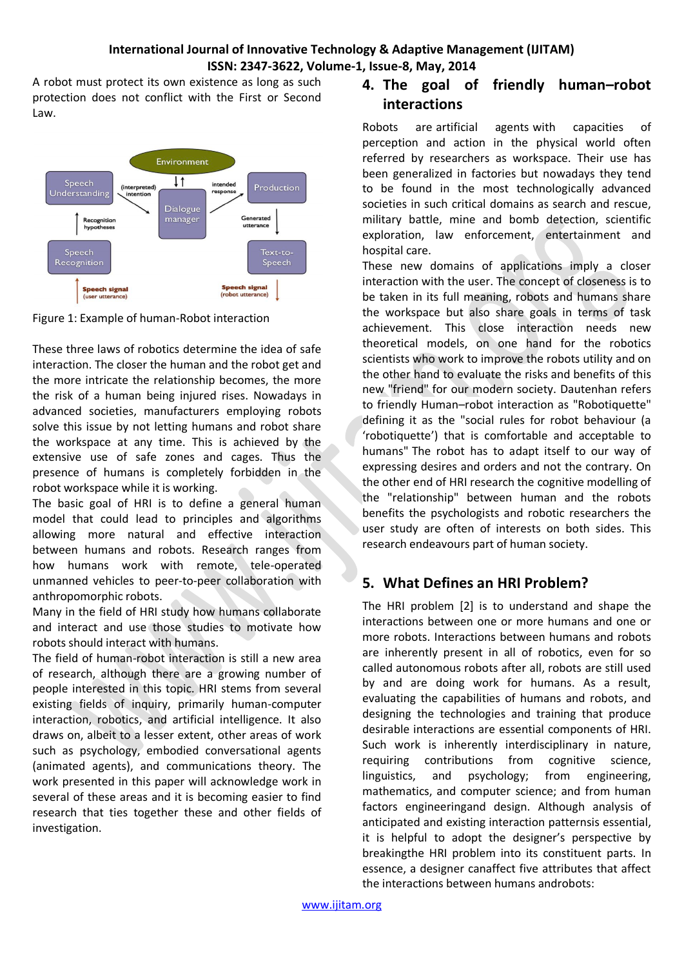A robot must protect its own existence as long as such protection does not conflict with the First or Second Law.



Figure 1: Example of human-Robot interaction

These three laws of robotics determine the idea of safe interaction. The closer the human and the robot get and the more intricate the relationship becomes, the more the risk of a human being injured rises. Nowadays in advanced societies, manufacturers employing robots solve this issue by not letting humans and robot share the workspace at any time. This is achieved by the extensive use of safe zones and cages. Thus the presence of humans is completely forbidden in the robot workspace while it is working.

The basic goal of HRI is to define a general human model that could lead to principles and algorithms allowing more natural and effective interaction between humans and robots. Research ranges from how humans work with remote, tele-operated unmanned vehicles to peer-to-peer collaboration with anthropomorphic robots.

Many in the field of HRI study how humans collaborate and interact and use those studies to motivate how robots should interact with humans.

The field of human-robot interaction is still a new area of research, although there are a growing number of people interested in this topic. HRI stems from several existing fields of inquiry, primarily human-computer interaction, robotics, and artificial intelligence. It also draws on, albeit to a lesser extent, other areas of work such as psychology, embodied conversational agents (animated agents), and communications theory. The work presented in this paper will acknowledge work in several of these areas and it is becoming easier to find research that ties together these and other fields of investigation.

# **4. The goal of friendly human–robot interactions**

Robots are artificial agents with capacities of perception and action in the physical world often referred by researchers as workspace. Their use has been generalized in factories but nowadays they tend to be found in the most technologically advanced societies in such critical domains as search and rescue, military battle, mine and bomb detection, scientific exploration, law enforcement, entertainment and hospital care.

These new domains of applications imply a closer interaction with the user. The concept of closeness is to be taken in its full meaning, robots and humans share the workspace but also share goals in terms of task achievement. This close interaction needs new theoretical models, on one hand for the robotics scientists who work to improve the robots utility and on the other hand to evaluate the risks and benefits of this new "friend" for our modern society. Dautenhan refers to friendly Human–robot interaction as "Robotiquette" defining it as the "social rules for robot behaviour (a 'robotiquette') that is comfortable and acceptable to humans" The robot has to adapt itself to our way of expressing desires and orders and not the contrary. On the other end of HRI research the cognitive modelling of the "relationship" between human and the robots benefits the psychologists and robotic researchers the user study are often of interests on both sides. This research endeavours part of human society.

# **5. What Defines an HRI Problem?**

The HRI problem [2] is to understand and shape the interactions between one or more humans and one or more robots. Interactions between humans and robots are inherently present in all of robotics, even for so called autonomous robots after all, robots are still used by and are doing work for humans. As a result, evaluating the capabilities of humans and robots, and designing the technologies and training that produce desirable interactions are essential components of HRI. Such work is inherently interdisciplinary in nature, requiring contributions from cognitive science, linguistics, and psychology; from engineering, mathematics, and computer science; and from human factors engineeringand design. Although analysis of anticipated and existing interaction patternsis essential, it is helpful to adopt the designer's perspective by breakingthe HRI problem into its constituent parts. In essence, a designer canaffect five attributes that affect the interactions between humans androbots: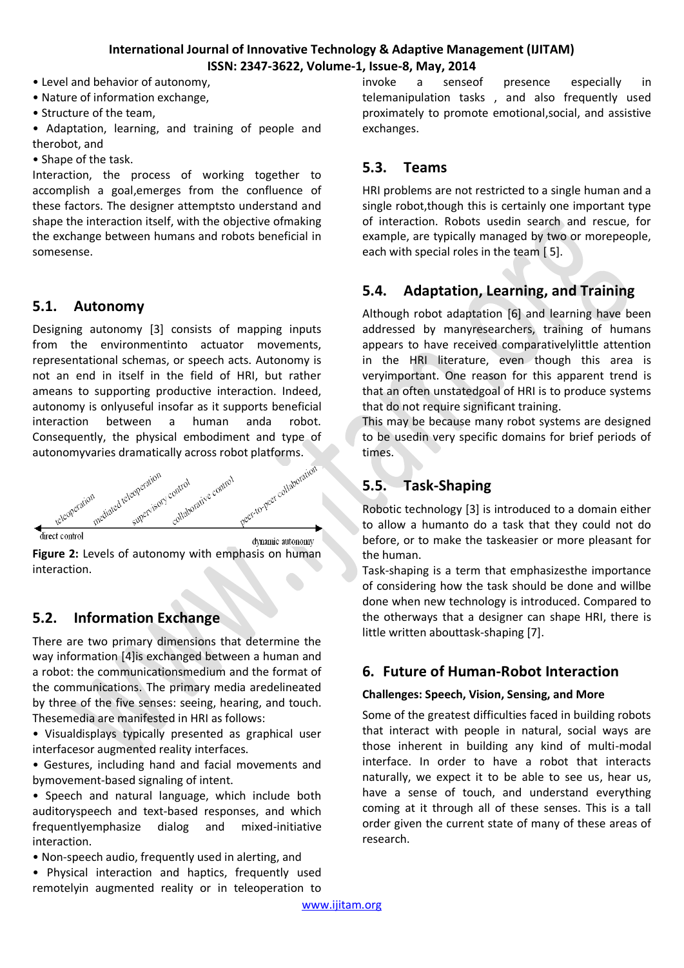- Level and behavior of autonomy,
- Nature of information exchange,
- Structure of the team,

• Adaptation, learning, and training of people and therobot, and

• Shape of the task.

Interaction, the process of working together to accomplish a goal,emerges from the confluence of these factors. The designer attemptsto understand and shape the interaction itself, with the objective ofmaking the exchange between humans and robots beneficial in somesense.

### **5.1. Autonomy**

Designing autonomy [3] consists of mapping inputs from the environmentinto actuator movements, representational schemas, or speech acts. Autonomy is not an end in itself in the field of HRI, but rather ameans to supporting productive interaction. Indeed, autonomy is onlyuseful insofar as it supports beneficial interaction between a human anda robot. Consequently, the physical embodiment and type of autonomyvaries dramatically across robot platforms.

ation nediated releaperation releoperation direct control

control control

dynamic autonomy **Figure 2:** Levels of autonomy with emphasis on human interaction.

supervisory control

# **5.2. Information Exchange**

There are two primary dimensions that determine the way information [4]is exchanged between a human and a robot: the communicationsmedium and the format of the communications. The primary media aredelineated by three of the five senses: seeing, hearing, and touch. Thesemedia are manifested in HRI as follows:

• Visualdisplays typically presented as graphical user interfacesor augmented reality interfaces.

• Gestures, including hand and facial movements and bymovement-based signaling of intent.

• Speech and natural language, which include both auditoryspeech and text-based responses, and which frequentlyemphasize dialog and mixed-initiative interaction.

• Non-speech audio, frequently used in alerting, and

• Physical interaction and haptics, frequently used remotelyin augmented reality or in teleoperation to invoke a senseof presence especially in telemanipulation tasks , and also frequently used proximately to promote emotional,social, and assistive exchanges.

### **5.3. Teams**

HRI problems are not restricted to a single human and a single robot,though this is certainly one important type of interaction. Robots usedin search and rescue, for example, are typically managed by two or morepeople, each with special roles in the team [ 5].

# **5.4. Adaptation, Learning, and Training**

Although robot adaptation [6] and learning have been addressed by manyresearchers, training of humans appears to have received comparativelylittle attention in the HRI literature, even though this area is veryimportant. One reason for this apparent trend is that an often unstatedgoal of HRI is to produce systems that do not require significant training.

This may be because many robot systems are designed to be usedin very specific domains for brief periods of times.

### **5.5. Task-Shaping**

Robotic technology [3] is introduced to a domain either to allow a humanto do a task that they could not do before, or to make the taskeasier or more pleasant for the human.

Task-shaping is a term that emphasizesthe importance of considering how the task should be done and willbe done when new technology is introduced. Compared to the otherways that a designer can shape HRI, there is little written abouttask-shaping [7].

### **6. Future of Human-Robot Interaction**

#### **Challenges: Speech, Vision, Sensing, and More**

Some of the greatest difficulties faced in building robots that interact with people in natural, social ways are those inherent in building any kind of multi-modal interface. In order to have a robot that interacts naturally, we expect it to be able to see us, hear us, have a sense of touch, and understand everything coming at it through all of these senses. This is a tall order given the current state of many of these areas of research.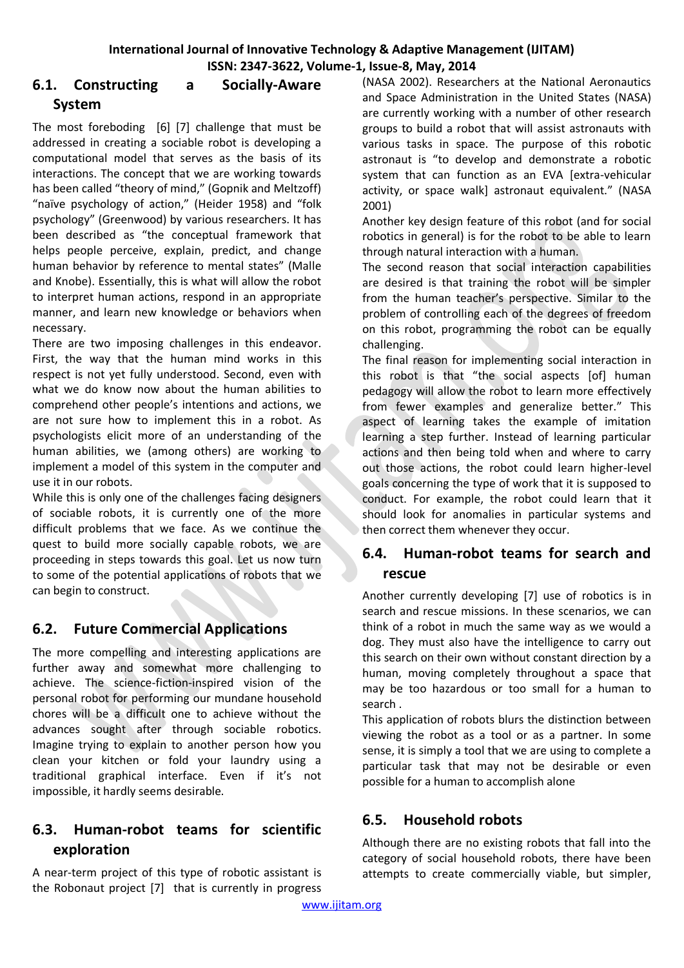#### **ISSN: 2347-3622, Volume-1, Issue-8, May, 2014**

# **6.1. Constructing a Socially-Aware System**

The most foreboding [6] [7] challenge that must be addressed in creating a sociable robot is developing a computational model that serves as the basis of its interactions. The concept that we are working towards has been called "theory of mind," (Gopnik and Meltzoff) "naïve psychology of action," (Heider 1958) and "folk psychology" (Greenwood) by various researchers. It has been described as "the conceptual framework that helps people perceive, explain, predict, and change human behavior by reference to mental states" (Malle and Knobe). Essentially, this is what will allow the robot to interpret human actions, respond in an appropriate manner, and learn new knowledge or behaviors when necessary.

There are two imposing challenges in this endeavor. First, the way that the human mind works in this respect is not yet fully understood. Second, even with what we do know now about the human abilities to comprehend other people's intentions and actions, we are not sure how to implement this in a robot. As psychologists elicit more of an understanding of the human abilities, we (among others) are working to implement a model of this system in the computer and use it in our robots.

While this is only one of the challenges facing designers of sociable robots, it is currently one of the more difficult problems that we face. As we continue the quest to build more socially capable robots, we are proceeding in steps towards this goal. Let us now turn to some of the potential applications of robots that we can begin to construct.

# **6.2. Future Commercial Applications**

The more compelling and interesting applications are further away and somewhat more challenging to achieve. The science-fiction-inspired vision of the personal robot for performing our mundane household chores will be a difficult one to achieve without the advances sought after through sociable robotics. Imagine trying to explain to another person how you clean your kitchen or fold your laundry using a traditional graphical interface. Even if it's not impossible, it hardly seems desirable.

# **6.3. Human-robot teams for scientific exploration**

A near-term project of this type of robotic assistant is the Robonaut project [7] that is currently in progress

(NASA 2002). Researchers at the National Aeronautics and Space Administration in the United States (NASA) are currently working with a number of other research groups to build a robot that will assist astronauts with various tasks in space. The purpose of this robotic astronaut is "to develop and demonstrate a robotic system that can function as an EVA [extra-vehicular activity, or space walk] astronaut equivalent." (NASA 2001)

Another key design feature of this robot (and for social robotics in general) is for the robot to be able to learn through natural interaction with a human.

The second reason that social interaction capabilities are desired is that training the robot will be simpler from the human teacher's perspective. Similar to the problem of controlling each of the degrees of freedom on this robot, programming the robot can be equally challenging.

The final reason for implementing social interaction in this robot is that "the social aspects [of] human pedagogy will allow the robot to learn more effectively from fewer examples and generalize better." This aspect of learning takes the example of imitation learning a step further. Instead of learning particular actions and then being told when and where to carry out those actions, the robot could learn higher-level goals concerning the type of work that it is supposed to conduct. For example, the robot could learn that it should look for anomalies in particular systems and then correct them whenever they occur.

# **6.4. Human-robot teams for search and rescue**

Another currently developing [7] use of robotics is in search and rescue missions. In these scenarios, we can think of a robot in much the same way as we would a dog. They must also have the intelligence to carry out this search on their own without constant direction by a human, moving completely throughout a space that may be too hazardous or too small for a human to search .

This application of robots blurs the distinction between viewing the robot as a tool or as a partner. In some sense, it is simply a tool that we are using to complete a particular task that may not be desirable or even possible for a human to accomplish alone

# **6.5. Household robots**

Although there are no existing robots that fall into the category of social household robots, there have been attempts to create commercially viable, but simpler,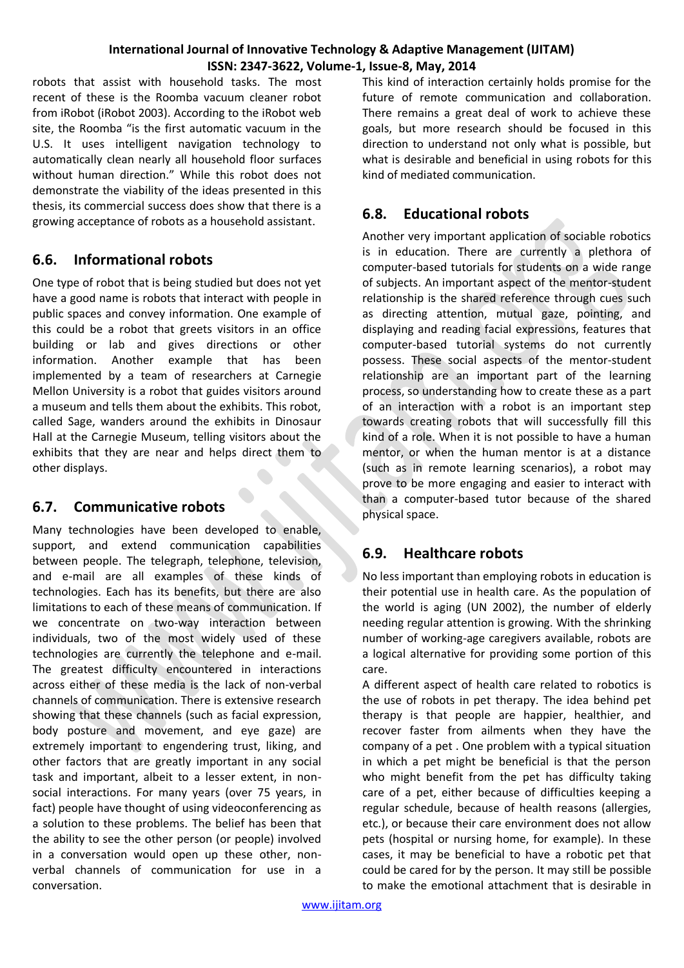robots that assist with household tasks. The most recent of these is the Roomba vacuum cleaner robot from iRobot (iRobot 2003). According to the iRobot web site, the Roomba "is the first automatic vacuum in the U.S. It uses intelligent navigation technology to automatically clean nearly all household floor surfaces without human direction." While this robot does not demonstrate the viability of the ideas presented in this thesis, its commercial success does show that there is a growing acceptance of robots as a household assistant.

# **6.6. Informational robots**

One type of robot that is being studied but does not yet have a good name is robots that interact with people in public spaces and convey information. One example of this could be a robot that greets visitors in an office building or lab and gives directions or other information. Another example that has been implemented by a team of researchers at Carnegie Mellon University is a robot that guides visitors around a museum and tells them about the exhibits. This robot, called Sage, wanders around the exhibits in Dinosaur Hall at the Carnegie Museum, telling visitors about the exhibits that they are near and helps direct them to other displays.

# **6.7. Communicative robots**

Many technologies have been developed to enable, support, and extend communication capabilities between people. The telegraph, telephone, television, and e-mail are all examples of these kinds of technologies. Each has its benefits, but there are also limitations to each of these means of communication. If we concentrate on two-way interaction between individuals, two of the most widely used of these technologies are currently the telephone and e-mail. The greatest difficulty encountered in interactions across either of these media is the lack of non-verbal channels of communication. There is extensive research showing that these channels (such as facial expression, body posture and movement, and eye gaze) are extremely important to engendering trust, liking, and other factors that are greatly important in any social task and important, albeit to a lesser extent, in nonsocial interactions. For many years (over 75 years, in fact) people have thought of using videoconferencing as a solution to these problems. The belief has been that the ability to see the other person (or people) involved in a conversation would open up these other, nonverbal channels of communication for use in a conversation.

This kind of interaction certainly holds promise for the future of remote communication and collaboration. There remains a great deal of work to achieve these goals, but more research should be focused in this direction to understand not only what is possible, but what is desirable and beneficial in using robots for this kind of mediated communication.

# **6.8. Educational robots**

Another very important application of sociable robotics is in education. There are currently a plethora of computer-based tutorials for students on a wide range of subjects. An important aspect of the mentor-student relationship is the shared reference through cues such as directing attention, mutual gaze, pointing, and displaying and reading facial expressions, features that computer-based tutorial systems do not currently possess. These social aspects of the mentor-student relationship are an important part of the learning process, so understanding how to create these as a part of an interaction with a robot is an important step towards creating robots that will successfully fill this kind of a role. When it is not possible to have a human mentor, or when the human mentor is at a distance (such as in remote learning scenarios), a robot may prove to be more engaging and easier to interact with than a computer-based tutor because of the shared physical space.

# **6.9. Healthcare robots**

No less important than employing robots in education is their potential use in health care. As the population of the world is aging (UN 2002), the number of elderly needing regular attention is growing. With the shrinking number of working-age caregivers available, robots are a logical alternative for providing some portion of this care.

A different aspect of health care related to robotics is the use of robots in pet therapy. The idea behind pet therapy is that people are happier, healthier, and recover faster from ailments when they have the company of a pet . One problem with a typical situation in which a pet might be beneficial is that the person who might benefit from the pet has difficulty taking care of a pet, either because of difficulties keeping a regular schedule, because of health reasons (allergies, etc.), or because their care environment does not allow pets (hospital or nursing home, for example). In these cases, it may be beneficial to have a robotic pet that could be cared for by the person. It may still be possible to make the emotional attachment that is desirable in